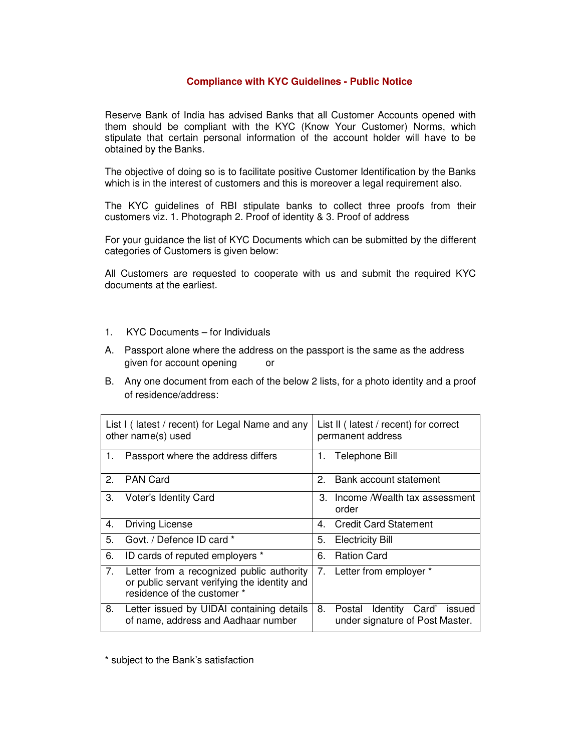## **Compliance with KYC Guidelines - Public Notice**

Reserve Bank of India has advised Banks that all Customer Accounts opened with them should be compliant with the KYC (Know Your Customer) Norms, which stipulate that certain personal information of the account holder will have to be obtained by the Banks.

The objective of doing so is to facilitate positive Customer Identification by the Banks which is in the interest of customers and this is moreover a legal requirement also.

The KYC guidelines of RBI stipulate banks to collect three proofs from their customers viz. 1. Photograph 2. Proof of identity & 3. Proof of address

For your guidance the list of KYC Documents which can be submitted by the different categories of Customers is given below:

All Customers are requested to cooperate with us and submit the required KYC documents at the earliest.

- 1. KYC Documents for Individuals
- A. Passport alone where the address on the passport is the same as the address given for account opening or
- B. Any one document from each of the below 2 lists, for a photo identity and a proof of residence/address:

| List I (latest / recent) for Legal Name and any<br>other name(s) used |                                                                                                                          | List II (latest / recent) for correct<br>permanent address |                                                                    |
|-----------------------------------------------------------------------|--------------------------------------------------------------------------------------------------------------------------|------------------------------------------------------------|--------------------------------------------------------------------|
| 1.                                                                    | Passport where the address differs                                                                                       |                                                            | 1. Telephone Bill                                                  |
| 2.                                                                    | <b>PAN Card</b>                                                                                                          | 2 <sub>1</sub>                                             | Bank account statement                                             |
| 3.                                                                    | Voter's Identity Card                                                                                                    | З.                                                         | Income /Wealth tax assessment<br>order                             |
| 4.                                                                    | <b>Driving License</b>                                                                                                   | 4.                                                         | <b>Credit Card Statement</b>                                       |
| 5.                                                                    | Govt. / Defence ID card *                                                                                                | 5.                                                         | <b>Electricity Bill</b>                                            |
| 6.                                                                    | ID cards of reputed employers *                                                                                          | 6.                                                         | <b>Ration Card</b>                                                 |
| 7.                                                                    | Letter from a recognized public authority<br>or public servant verifying the identity and<br>residence of the customer * |                                                            | 7. Letter from employer *                                          |
| 8.                                                                    | Letter issued by UIDAI containing details<br>of name, address and Aadhaar number                                         | 8.                                                         | Postal Identity Card'<br>issued<br>under signature of Post Master. |

\* subject to the Bank's satisfaction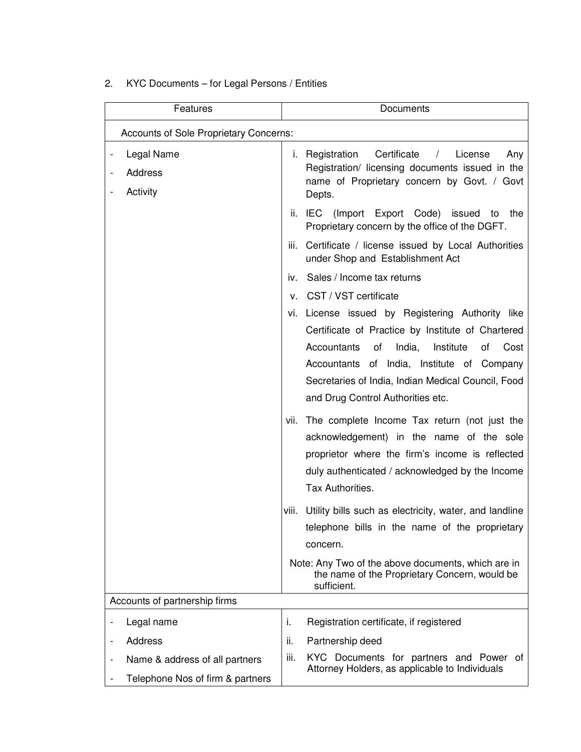| KYC Documents - for Legal Persons / Entities<br>2. |  |
|----------------------------------------------------|--|
|----------------------------------------------------|--|

| Features                                                           |      | Documents                                                                                                                                                                                                                                                                                                |  |  |  |  |  |
|--------------------------------------------------------------------|------|----------------------------------------------------------------------------------------------------------------------------------------------------------------------------------------------------------------------------------------------------------------------------------------------------------|--|--|--|--|--|
| <b>Accounts of Sole Proprietary Concerns:</b>                      |      |                                                                                                                                                                                                                                                                                                          |  |  |  |  |  |
| Legal Name<br>Address<br>Activity                                  |      | Certificate<br><i>i.</i> Registration<br>License<br>Any<br>$\sqrt{2}$<br>Registration/ licensing documents issued in the<br>name of Proprietary concern by Govt. / Govt<br>Depts.                                                                                                                        |  |  |  |  |  |
|                                                                    |      | ii. IEC (Import Export Code) issued to the<br>Proprietary concern by the office of the DGFT.                                                                                                                                                                                                             |  |  |  |  |  |
|                                                                    | Ш.   | Certificate / license issued by Local Authorities<br>under Shop and Establishment Act                                                                                                                                                                                                                    |  |  |  |  |  |
|                                                                    |      | iv. Sales / Income tax returns                                                                                                                                                                                                                                                                           |  |  |  |  |  |
|                                                                    |      | v. CST / VST certificate                                                                                                                                                                                                                                                                                 |  |  |  |  |  |
|                                                                    |      | vi. License issued by Registering Authority like<br>Certificate of Practice by Institute of Chartered<br>India,<br>Institute<br>Accountants<br>of<br>Cost<br>of<br>Accountants of India, Institute of Company<br>Secretaries of India, Indian Medical Council, Food<br>and Drug Control Authorities etc. |  |  |  |  |  |
|                                                                    |      | vii. The complete Income Tax return (not just the<br>acknowledgement) in the name of the sole<br>proprietor where the firm's income is reflected<br>duly authenticated / acknowledged by the Income<br>Tax Authorities.                                                                                  |  |  |  |  |  |
|                                                                    |      | viii. Utility bills such as electricity, water, and landline<br>telephone bills in the name of the proprietary<br>concern.                                                                                                                                                                               |  |  |  |  |  |
|                                                                    |      | Note: Any Two of the above documents, which are in<br>the name of the Proprietary Concern, would be<br>sufficient.                                                                                                                                                                                       |  |  |  |  |  |
| Accounts of partnership firms                                      |      |                                                                                                                                                                                                                                                                                                          |  |  |  |  |  |
| Legal name                                                         | i.   | Registration certificate, if registered                                                                                                                                                                                                                                                                  |  |  |  |  |  |
| <b>Address</b>                                                     | ii.  | Partnership deed                                                                                                                                                                                                                                                                                         |  |  |  |  |  |
| Name & address of all partners<br>Telephone Nos of firm & partners | iii. | KYC Documents for partners and Power of<br>Attorney Holders, as applicable to Individuals                                                                                                                                                                                                                |  |  |  |  |  |